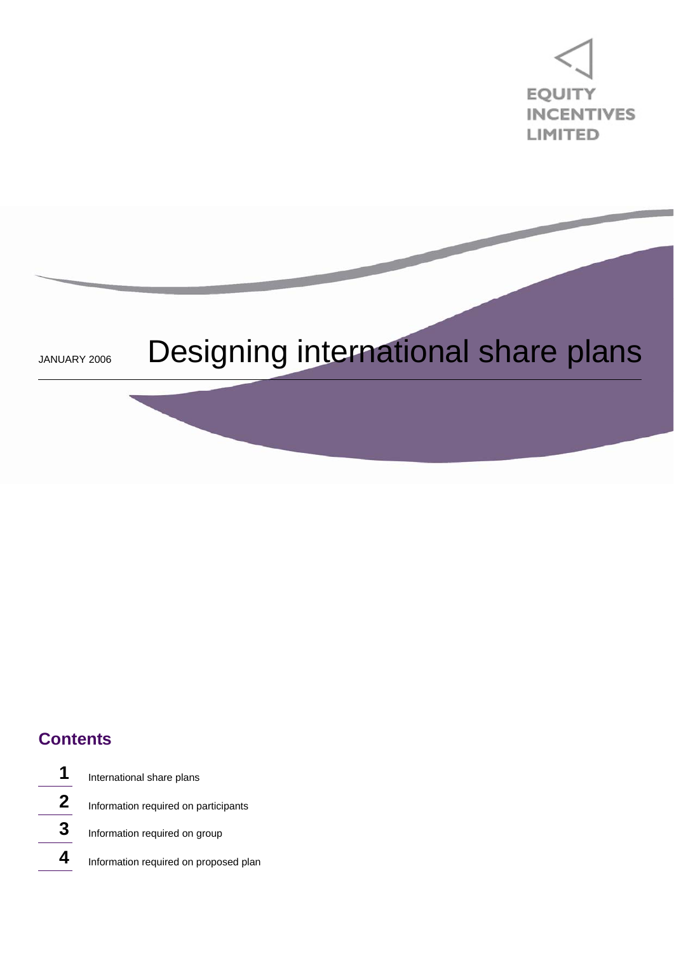

# JANUARY 2006 Designing international share plans

## **Contents**

International share plans Information required on participants Information required on group Information required on proposed plan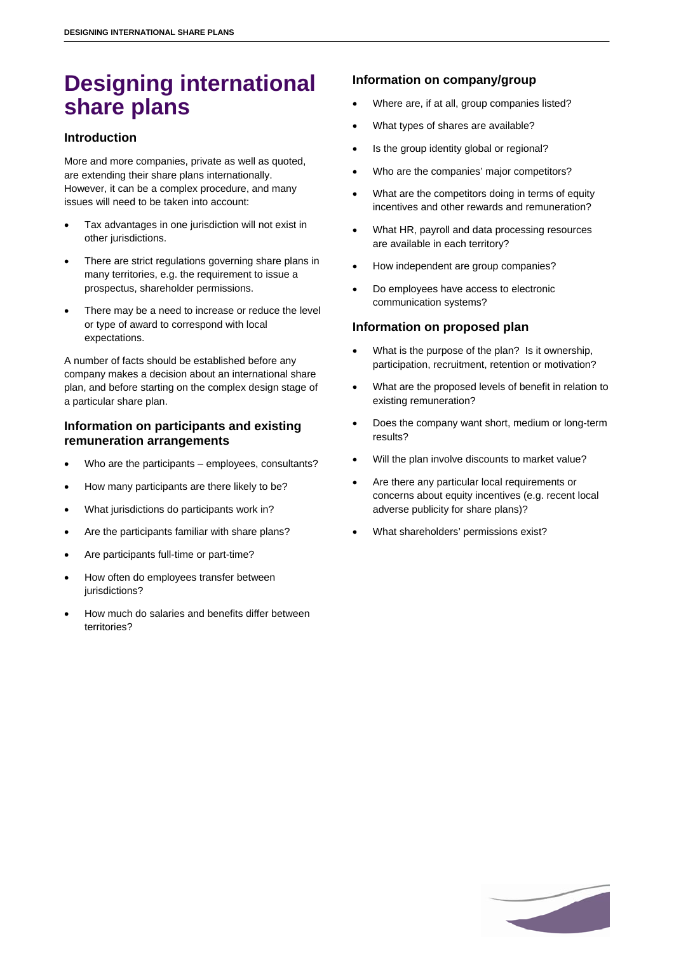## **Designing international share plans**

#### **Introduction**

More and more companies, private as well as quoted, are extending their share plans internationally. However, it can be a complex procedure, and many issues will need to be taken into account:

- Tax advantages in one jurisdiction will not exist in other jurisdictions.
- There are strict regulations governing share plans in many territories, e.g. the requirement to issue a prospectus, shareholder permissions.
- There may be a need to increase or reduce the level or type of award to correspond with local expectations.

A number of facts should be established before any company makes a decision about an international share plan, and before starting on the complex design stage of a particular share plan.

#### **Information on participants and existing remuneration arrangements**

- Who are the participants employees, consultants?
- How many participants are there likely to be?
- What jurisdictions do participants work in?
- Are the participants familiar with share plans?
- Are participants full-time or part-time?
- How often do employees transfer between jurisdictions?
- How much do salaries and benefits differ between territories?

### **Information on company/group**

- Where are, if at all, group companies listed?
- What types of shares are available?
- Is the group identity global or regional?
- Who are the companies' major competitors?
- What are the competitors doing in terms of equity incentives and other rewards and remuneration?
- What HR, payroll and data processing resources are available in each territory?
- How independent are group companies?
- Do employees have access to electronic communication systems?

#### **Information on proposed plan**

- What is the purpose of the plan? Is it ownership, participation, recruitment, retention or motivation?
- What are the proposed levels of benefit in relation to existing remuneration?
- Does the company want short, medium or long-term results?
- Will the plan involve discounts to market value?
- Are there any particular local requirements or concerns about equity incentives (e.g. recent local adverse publicity for share plans)?
- What shareholders' permissions exist?